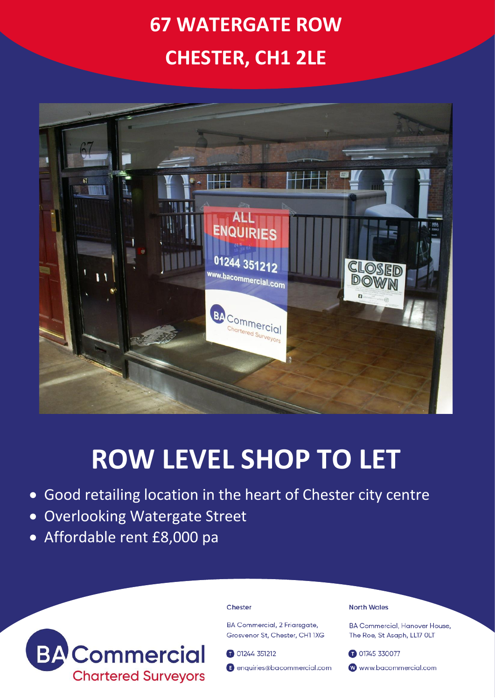# **67 WATERGATE ROW CHESTER, CH1 2LE**



## **ROW LEVEL SHOP TO LET**

- Good retailing location in the heart of Chester city centre
- Overlooking Watergate Street
- Affordable rent £8,000 pa



### Chester

**BA Commercial, 2 Friarsaate,** Grosvenor St. Chester, CH1 1XG

01244 351212

enquiries@bacommercial.com

### **North Wales**

**BA Commercial, Hanover House.** The Roe, St Asaph, LL17 OLT

01745 330077 www.bacommercial.com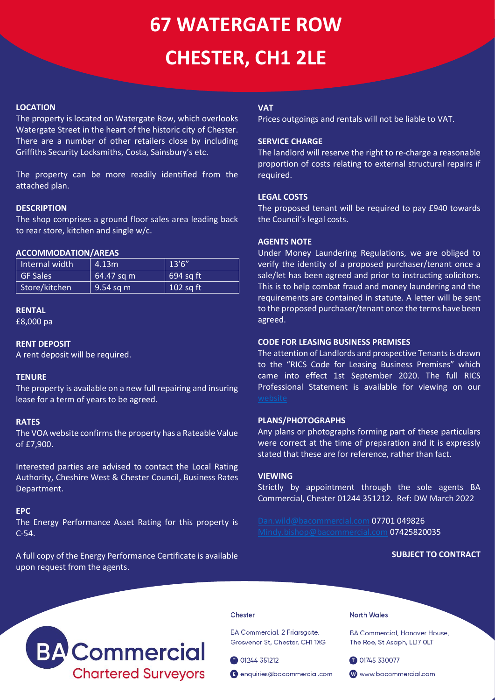# **67 WATERGATE ROW CHESTER, CH1 2LE**

## **LOCATION**

The property is located on Watergate Row, which overlooks Watergate Street in the heart of the historic city of Chester. There are a number of other retailers close by including Griffiths Security Locksmiths, Costa, Sainsbury's etc.

The property can be more readily identified from the attached plan.

## **DESCRIPTION**

The shop comprises a ground floor sales area leading back to rear store, kitchen and single w/c.

## **ACCOMMODATION/AREAS**

| Internal width  | 4.13 <sup>th</sup> | 13'6''      |
|-----------------|--------------------|-------------|
| <b>GF Sales</b> | $64.47$ sq m       | $694$ sq ft |
| Store/kitchen   | $9.54$ sq m        | $102$ sq ft |

#### **RENTAL**

£8,000 pa

## **RENT DEPOSIT**

A rent deposit will be required.

## **TENURE**

The property is available on a new full repairing and insuring lease for a term of years to be agreed.

## **RATES**

The VOA website confirms the property has a Rateable Value of £7,900.

Interested parties are advised to contact the Local Rating Authority, Cheshire West & Chester Council, Business Rates Department.

### **EPC**

The Energy Performance Asset Rating for this property is C-54.

A full copy of the Energy Performance Certificate is available upon request from the agents.

## **VAT**

Prices outgoings and rentals will not be liable to VAT.

## **SERVICE CHARGE**

The landlord will reserve the right to re-charge a reasonable proportion of costs relating to external structural repairs if required.

## **LEGAL COSTS**

The proposed tenant will be required to pay £940 towards the Council's legal costs.

## **AGENTS NOTE**

Under Money Laundering Regulations, we are obliged to verify the identity of a proposed purchaser/tenant once a sale/let has been agreed and prior to instructing solicitors. This is to help combat fraud and money laundering and the requirements are contained in statute. A letter will be sent to the proposed purchaser/tenant once the terms have been agreed.

## **CODE FOR LEASING BUSINESS PREMISES**

The attention of Landlords and prospective Tenants is drawn to the "RICS Code for Leasing Business Premises" which came into effect 1st September 2020. The full RICS Professional Statement is available for viewing on our

## **PLANS/PHOTOGRAPHS**

Any plans or photographs forming part of these particulars were correct at the time of preparation and it is expressly stated that these are for reference, rather than fact.

## **VIEWING**

Strictly by appointment through the sole agents BA Commercial, Chester 01244 351212. Ref: DW March 2022

[Dan.wild@bacommercial.com](mailto:Dan.wild@bacommercial.com) 07701 049826 [Mindy.bishop@bacommercial.com](mailto:Mindy.bishop@bacommercial.com) 07425820035

## **SUBJECT TO CONTRACT**



#### Chester

BA Commercial, 2 Friarsgate, Grosvenor St, Chester, CH1 1XG

01244 351212

enquiries@bacommercial.com

North Wales

**BA Commercial, Hanover House,** The Roe, St Asaph, LL17 OLT

01745 330077

www.bacommercial.com